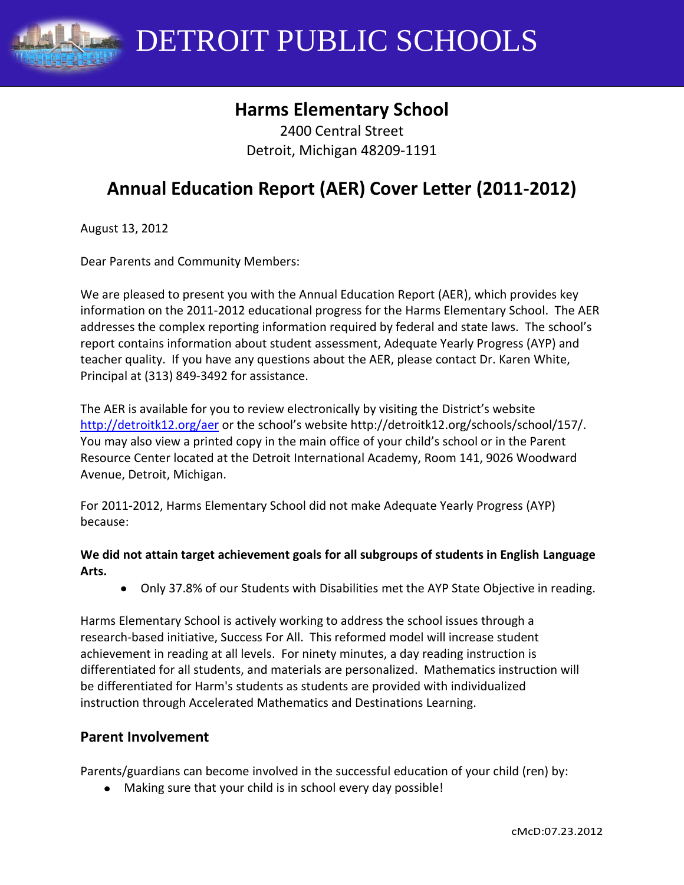

DETROIT PUBLIC SCHOOLS

# **Harms Elementary School**

2400 Central Street Detroit, Michigan 48209-1191

# **Annual Education Report (AER) Cover Letter (2011-2012)**

August 13, 2012

Dear Parents and Community Members:

We are pleased to present you with the Annual Education Report (AER), which provides key information on the 2011-2012 educational progress for the Harms Elementary School. The AER addresses the complex reporting information required by federal and state laws. The school's report contains information about student assessment, Adequate Yearly Progress (AYP) and teacher quality. If you have any questions about the AER, please contact Dr. Karen White, Principal at (313) 849-3492 for assistance.

The AER is available for you to review electronically by visiting the District's website <http://detroitk12.org/aer> or the school's website http://detroitk12.org/schools/school/157/. You may also view a printed copy in the main office of your child's school or in the Parent Resource Center located at the Detroit International Academy, Room 141, 9026 Woodward Avenue, Detroit, Michigan.

For 2011-2012, Harms Elementary School did not make Adequate Yearly Progress (AYP) because:

#### **We did not attain target achievement goals for all subgroups of students in English Language Arts.**

Only 37.8% of our Students with Disabilities met the AYP State Objective in reading.

Harms Elementary School is actively working to address the school issues through a research-based initiative, Success For All. This reformed model will increase student achievement in reading at all levels. For ninety minutes, a day reading instruction is differentiated for all students, and materials are personalized. Mathematics instruction will be differentiated for Harm's students as students are provided with individualized instruction through Accelerated Mathematics and Destinations Learning.

### **Parent Involvement**

Parents/guardians can become involved in the successful education of your child (ren) by:

Making sure that your child is in school every day possible!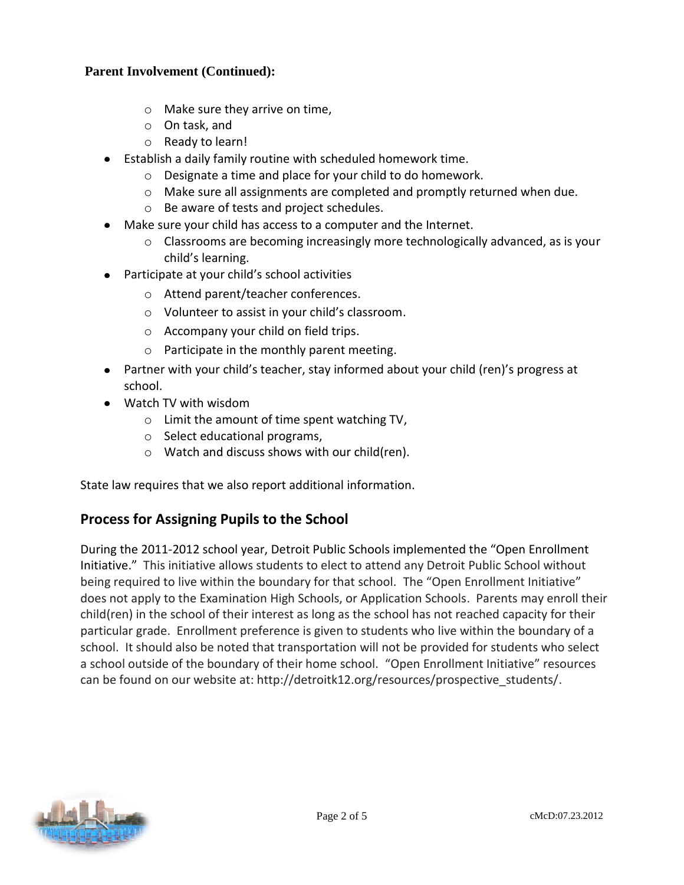#### **Parent Involvement (Continued):**

- o Make sure they arrive on time,
- o On task, and
- o Ready to learn!
- Establish a daily family routine with scheduled homework time.
	- o Designate a time and place for your child to do homework.
	- $\circ$  Make sure all assignments are completed and promptly returned when due.
	- o Be aware of tests and project schedules.
- Make sure your child has access to a computer and the Internet.
	- o Classrooms are becoming increasingly more technologically advanced, as is your child's learning.
- Participate at your child's school activities
	- o Attend parent/teacher conferences.
	- o Volunteer to assist in your child's classroom.
	- o Accompany your child on field trips.
	- o Participate in the monthly parent meeting.
- Partner with your child's teacher, stay informed about your child (ren)'s progress at school.
- Watch TV with wisdom
	- o Limit the amount of time spent watching TV,
	- o Select educational programs,
	- o Watch and discuss shows with our child(ren).

State law requires that we also report additional information.

## **Process for Assigning Pupils to the School**

During the 2011-2012 school year, Detroit Public Schools implemented the "Open Enrollment Initiative." This initiative allows students to elect to attend any Detroit Public School without being required to live within the boundary for that school. The "Open Enrollment Initiative" does not apply to the Examination High Schools, or Application Schools. Parents may enroll their child(ren) in the school of their interest as long as the school has not reached capacity for their particular grade. Enrollment preference is given to students who live within the boundary of a school. It should also be noted that transportation will not be provided for students who select a school outside of the boundary of their home school. "Open Enrollment Initiative" resources can be found on our website at: http://detroitk12.org/resources/prospective\_students/.

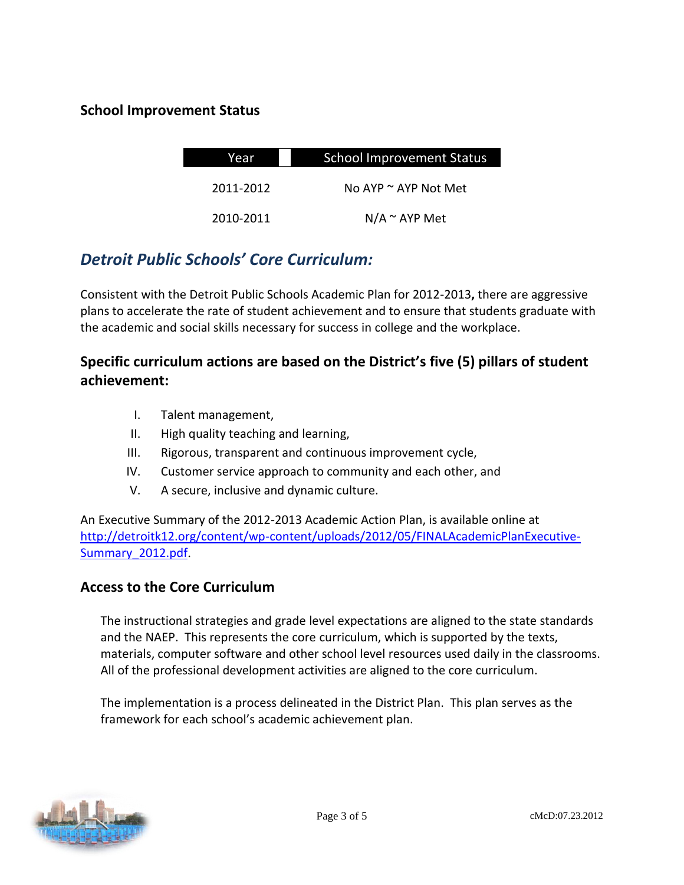### **School Improvement Status**

| Year      | <b>School Improvement Status</b> |  |
|-----------|----------------------------------|--|
| 2011-2012 | No AYP $\sim$ AYP Not Met        |  |
| 2010-2011 | $N/A \sim AYP$ Met               |  |

# *Detroit Public Schools' Core Curriculum:*

Consistent with the Detroit Public Schools Academic Plan for 2012-2013**,** there are aggressive plans to accelerate the rate of student achievement and to ensure that students graduate with the academic and social skills necessary for success in college and the workplace.

# **Specific curriculum actions are based on the District's five (5) pillars of student achievement:**

- I. Talent management,
- II. High quality teaching and learning,
- III. Rigorous, transparent and continuous improvement cycle,
- IV. Customer service approach to community and each other, and
- V. A secure, inclusive and dynamic culture.

An Executive Summary of the 2012-2013 Academic Action Plan, is available online at [http://detroitk12.org/content/wp-content/uploads/2012/05/FINALAcademicPlanExecutive-](http://detroitk12.org/content/wp-content/uploads/2012/05/FINALAcademicPlanExecutive-Summary_2012.pdf)[Summary\\_2012.pdf](http://detroitk12.org/content/wp-content/uploads/2012/05/FINALAcademicPlanExecutive-Summary_2012.pdf).

### **Access to the Core Curriculum**

The instructional strategies and grade level expectations are aligned to the state standards and the NAEP. This represents the core curriculum, which is supported by the texts, materials, computer software and other school level resources used daily in the classrooms. All of the professional development activities are aligned to the core curriculum.

The implementation is a process delineated in the District Plan. This plan serves as the framework for each school's academic achievement plan.

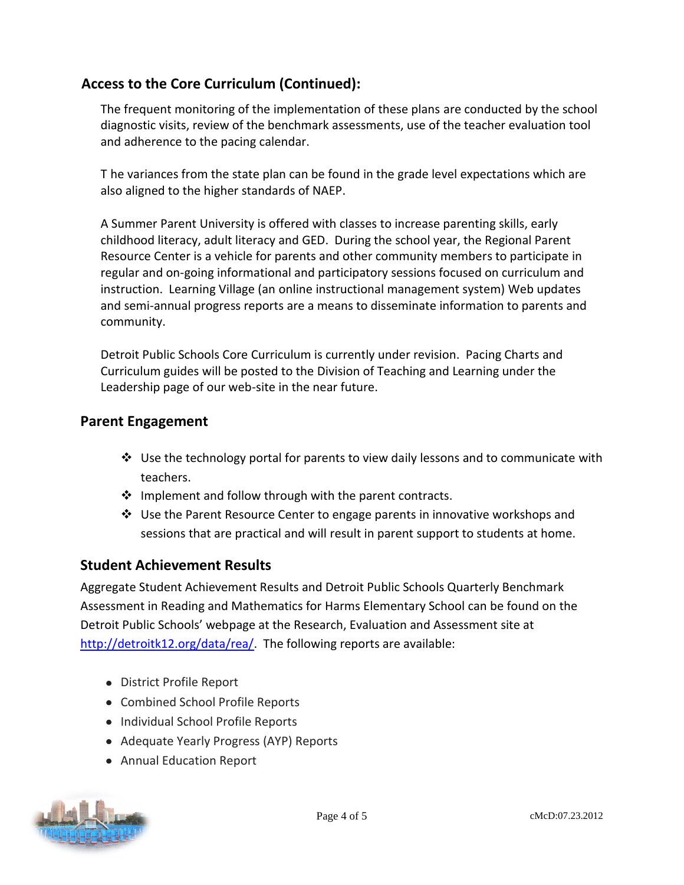# **Access to the Core Curriculum (Continued):**

The frequent monitoring of the implementation of these plans are conducted by the school diagnostic visits, review of the benchmark assessments, use of the teacher evaluation tool and adherence to the pacing calendar.

T he variances from the state plan can be found in the grade level expectations which are also aligned to the higher standards of NAEP.

A Summer Parent University is offered with classes to increase parenting skills, early childhood literacy, adult literacy and GED. During the school year, the Regional Parent Resource Center is a vehicle for parents and other community members to participate in regular and on-going informational and participatory sessions focused on curriculum and instruction. Learning Village (an online instructional management system) Web updates and semi-annual progress reports are a means to disseminate information to parents and community.

Detroit Public Schools Core Curriculum is currently under revision. Pacing Charts and Curriculum guides will be posted to the Division of Teaching and Learning under the Leadership page of our web-site in the near future.

### **Parent Engagement**

- $\clubsuit$  Use the technology portal for parents to view daily lessons and to communicate with teachers.
- $\cdot$  Implement and follow through with the parent contracts.
- $\div$  Use the Parent Resource Center to engage parents in innovative workshops and sessions that are practical and will result in parent support to students at home.

### **Student Achievement Results**

Aggregate Student Achievement Results and Detroit Public Schools Quarterly Benchmark Assessment in Reading and Mathematics for Harms Elementary School can be found on the Detroit Public Schools' webpage at the Research, Evaluation and Assessment site at [http://detroitk12.org/data/rea/.](http://detroitk12.org/data/rea/) The following reports are available:

- District Profile Report
- Combined School Profile Reports
- Individual School Profile Reports
- Adequate Yearly Progress (AYP) Reports
- Annual Education Report